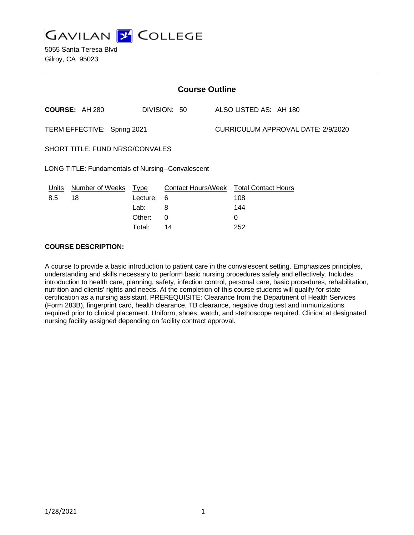

5055 Santa Teresa Blvd Gilroy, CA 95023

| <b>Course Outline</b>                                    |                       |          |              |                                           |                                               |
|----------------------------------------------------------|-----------------------|----------|--------------|-------------------------------------------|-----------------------------------------------|
|                                                          | <b>COURSE: AH 280</b> |          | DIVISION: 50 |                                           | ALSO LISTED AS: AH 180                        |
| TERM EFFECTIVE: Spring 2021                              |                       |          |              | <b>CURRICULUM APPROVAL DATE: 2/9/2020</b> |                                               |
| SHORT TITLE: FUND NRSG/CONVALES                          |                       |          |              |                                           |                                               |
| <b>LONG TITLE: Fundamentals of Nursing--Convalescent</b> |                       |          |              |                                           |                                               |
| Units                                                    | Number of Weeks Type  |          |              |                                           | <b>Contact Hours/Week Total Contact Hours</b> |
| 8.5                                                      | 18                    | Lecture: | 6            |                                           | 108                                           |
|                                                          |                       | Lab:     | 8            |                                           | 144                                           |
|                                                          |                       | Other:   | $\Omega$     |                                           | 0                                             |
|                                                          |                       | Total:   | 14           |                                           | 252                                           |

### **COURSE DESCRIPTION:**

A course to provide a basic introduction to patient care in the convalescent setting. Emphasizes principles, understanding and skills necessary to perform basic nursing procedures safely and effectively. Includes introduction to health care, planning, safety, infection control, personal care, basic procedures, rehabilitation, nutrition and clients' rights and needs. At the completion of this course students will qualify for state certification as a nursing assistant. PREREQUISITE: Clearance from the Department of Health Services (Form 283B), fingerprint card, health clearance, TB clearance, negative drug test and immunizations required prior to clinical placement. Uniform, shoes, watch, and stethoscope required. Clinical at designated nursing facility assigned depending on facility contract approval.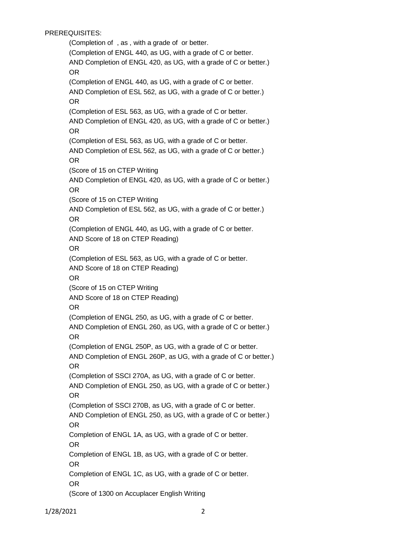# PREREQUISITES:

(Completion of , as , with a grade of or better. (Completion of ENGL 440, as UG, with a grade of C or better. AND Completion of ENGL 420, as UG, with a grade of C or better.) OR (Completion of ENGL 440, as UG, with a grade of C or better. AND Completion of ESL 562, as UG, with a grade of C or better.) OR (Completion of ESL 563, as UG, with a grade of C or better. AND Completion of ENGL 420, as UG, with a grade of C or better.) OR (Completion of ESL 563, as UG, with a grade of C or better. AND Completion of ESL 562, as UG, with a grade of C or better.) OR (Score of 15 on CTEP Writing AND Completion of ENGL 420, as UG, with a grade of C or better.) OR (Score of 15 on CTEP Writing AND Completion of ESL 562, as UG, with a grade of C or better.) OR (Completion of ENGL 440, as UG, with a grade of C or better. AND Score of 18 on CTEP Reading) OR (Completion of ESL 563, as UG, with a grade of C or better. AND Score of 18 on CTEP Reading) OR (Score of 15 on CTEP Writing AND Score of 18 on CTEP Reading) OR (Completion of ENGL 250, as UG, with a grade of C or better. AND Completion of ENGL 260, as UG, with a grade of C or better.) OR (Completion of ENGL 250P, as UG, with a grade of C or better. AND Completion of ENGL 260P, as UG, with a grade of C or better.) OR (Completion of SSCI 270A, as UG, with a grade of C or better. AND Completion of ENGL 250, as UG, with a grade of C or better.) OR (Completion of SSCI 270B, as UG, with a grade of C or better. AND Completion of ENGL 250, as UG, with a grade of C or better.) OR Completion of ENGL 1A, as UG, with a grade of C or better. OR Completion of ENGL 1B, as UG, with a grade of C or better. OR Completion of ENGL 1C, as UG, with a grade of C or better. OR (Score of 1300 on Accuplacer English Writing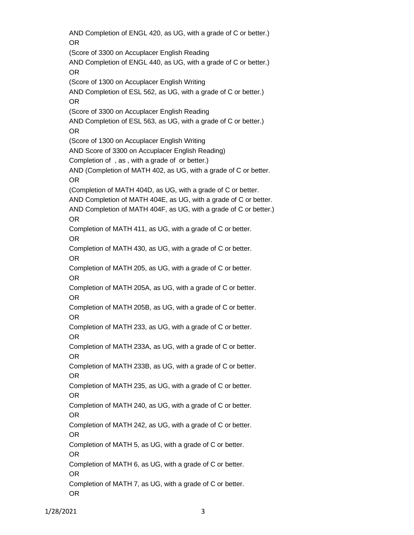AND Completion of ENGL 420, as UG, with a grade of C or better.) OR (Score of 3300 on Accuplacer English Reading AND Completion of ENGL 440, as UG, with a grade of C or better.) OR (Score of 1300 on Accuplacer English Writing AND Completion of ESL 562, as UG, with a grade of C or better.) OR (Score of 3300 on Accuplacer English Reading AND Completion of ESL 563, as UG, with a grade of C or better.) OR (Score of 1300 on Accuplacer English Writing AND Score of 3300 on Accuplacer English Reading) Completion of , as , with a grade of or better.) AND (Completion of MATH 402, as UG, with a grade of C or better. OR (Completion of MATH 404D, as UG, with a grade of C or better. AND Completion of MATH 404E, as UG, with a grade of C or better. AND Completion of MATH 404F, as UG, with a grade of C or better.) OR Completion of MATH 411, as UG, with a grade of C or better. OR Completion of MATH 430, as UG, with a grade of C or better. OR Completion of MATH 205, as UG, with a grade of C or better. OR Completion of MATH 205A, as UG, with a grade of C or better. OR Completion of MATH 205B, as UG, with a grade of C or better. OR Completion of MATH 233, as UG, with a grade of C or better. OR Completion of MATH 233A, as UG, with a grade of C or better. OR Completion of MATH 233B, as UG, with a grade of C or better. OR Completion of MATH 235, as UG, with a grade of C or better. OR Completion of MATH 240, as UG, with a grade of C or better. OR Completion of MATH 242, as UG, with a grade of C or better. OR Completion of MATH 5, as UG, with a grade of C or better. OR Completion of MATH 6, as UG, with a grade of C or better. OR Completion of MATH 7, as UG, with a grade of C or better. OR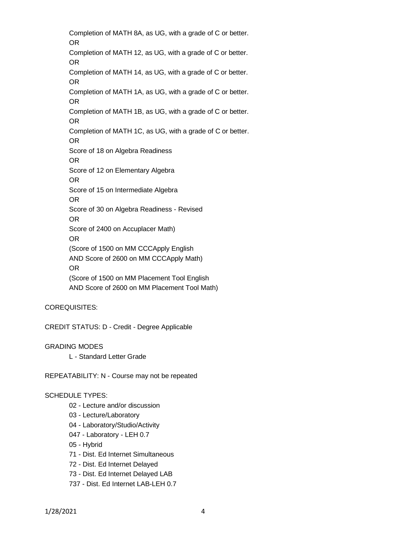Completion of MATH 8A, as UG, with a grade of C or better. OR Completion of MATH 12, as UG, with a grade of C or better. OR Completion of MATH 14, as UG, with a grade of C or better. OR Completion of MATH 1A, as UG, with a grade of C or better. OR Completion of MATH 1B, as UG, with a grade of C or better. OR Completion of MATH 1C, as UG, with a grade of C or better. OR Score of 18 on Algebra Readiness OR Score of 12 on Elementary Algebra OR Score of 15 on Intermediate Algebra OR Score of 30 on Algebra Readiness - Revised OR Score of 2400 on Accuplacer Math) OR (Score of 1500 on MM CCCApply English AND Score of 2600 on MM CCCApply Math) OR (Score of 1500 on MM Placement Tool English AND Score of 2600 on MM Placement Tool Math)

### COREQUISITES:

CREDIT STATUS: D - Credit - Degree Applicable

GRADING MODES

L - Standard Letter Grade

REPEATABILITY: N - Course may not be repeated

#### SCHEDULE TYPES:

- 02 Lecture and/or discussion
- 03 Lecture/Laboratory
- 04 Laboratory/Studio/Activity
- 047 Laboratory LEH 0.7
- 05 Hybrid
- 71 Dist. Ed Internet Simultaneous
- 72 Dist. Ed Internet Delayed
- 73 Dist. Ed Internet Delayed LAB
- 737 Dist. Ed Internet LAB-LEH 0.7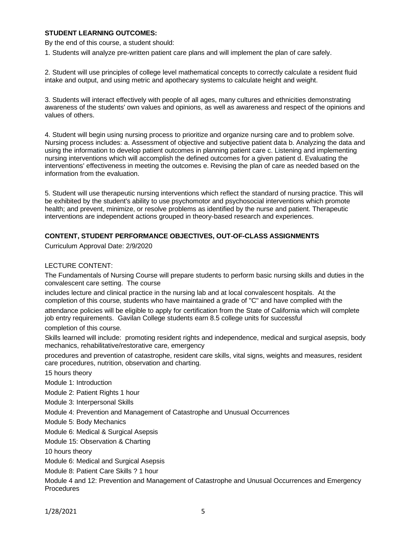### **STUDENT LEARNING OUTCOMES:**

By the end of this course, a student should:

1. Students will analyze pre-written patient care plans and will implement the plan of care safely.

2. Student will use principles of college level mathematical concepts to correctly calculate a resident fluid intake and output, and using metric and apothecary systems to calculate height and weight.

3. Students will interact effectively with people of all ages, many cultures and ethnicities demonstrating awareness of the students' own values and opinions, as well as awareness and respect of the opinions and values of others.

4. Student will begin using nursing process to prioritize and organize nursing care and to problem solve. Nursing process includes: a. Assessment of objective and subjective patient data b. Analyzing the data and using the information to develop patient outcomes in planning patient care c. Listening and implementing nursing interventions which will accomplish the defined outcomes for a given patient d. Evaluating the interventions' effectiveness in meeting the outcomes e. Revising the plan of care as needed based on the information from the evaluation.

5. Student will use therapeutic nursing interventions which reflect the standard of nursing practice. This will be exhibited by the student's ability to use psychomotor and psychosocial interventions which promote health; and prevent, minimize, or resolve problems as identified by the nurse and patient. Therapeutic interventions are independent actions grouped in theory-based research and experiences.

### **CONTENT, STUDENT PERFORMANCE OBJECTIVES, OUT-OF-CLASS ASSIGNMENTS**

Curriculum Approval Date: 2/9/2020

## LECTURE CONTENT:

The Fundamentals of Nursing Course will prepare students to perform basic nursing skills and duties in the convalescent care setting. The course

includes lecture and clinical practice in the nursing lab and at local convalescent hospitals. At the completion of this course, students who have maintained a grade of "C" and have complied with the attendance policies will be eligible to apply for certification from the State of California which will complete job entry requirements. Gavilan College students earn 8.5 college units for successful

completion of this course.

Skills learned will include: promoting resident rights and independence, medical and surgical asepsis, body mechanics, rehabilitative/restorative care, emergency

procedures and prevention of catastrophe, resident care skills, vital signs, weights and measures, resident care procedures, nutrition, observation and charting.

15 hours theory

Module 1: Introduction

Module 2: Patient Rights 1 hour

Module 3: Interpersonal Skills

Module 4: Prevention and Management of Catastrophe and Unusual Occurrences

Module 5: Body Mechanics

Module 6: Medical & Surgical Asepsis

Module 15: Observation & Charting

10 hours theory

Module 6: Medical and Surgical Asepsis

Module 8: Patient Care Skills ? 1 hour

Module 4 and 12: Prevention and Management of Catastrophe and Unusual Occurrences and Emergency Procedures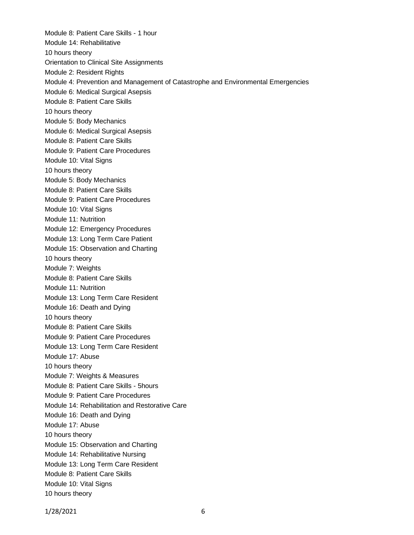Module 8: Patient Care Skills - 1 hour Module 14: Rehabilitative 10 hours theory Orientation to Clinical Site Assignments Module 2: Resident Rights Module 4: Prevention and Management of Catastrophe and Environmental Emergencies Module 6: Medical Surgical Asepsis Module 8: Patient Care Skills 10 hours theory Module 5: Body Mechanics Module 6: Medical Surgical Asepsis Module 8: Patient Care Skills Module 9: Patient Care Procedures Module 10: Vital Signs 10 hours theory Module 5: Body Mechanics Module 8: Patient Care Skills Module 9: Patient Care Procedures Module 10: Vital Signs Module 11: Nutrition Module 12: Emergency Procedures Module 13: Long Term Care Patient Module 15: Observation and Charting 10 hours theory Module 7: Weights Module 8: Patient Care Skills Module 11: Nutrition Module 13: Long Term Care Resident Module 16: Death and Dying 10 hours theory Module 8: Patient Care Skills Module 9: Patient Care Procedures Module 13: Long Term Care Resident Module 17: Abuse 10 hours theory Module 7: Weights & Measures Module 8: Patient Care Skills - 5hours Module 9: Patient Care Procedures Module 14: Rehabilitation and Restorative Care Module 16: Death and Dying Module 17: Abuse 10 hours theory Module 15: Observation and Charting Module 14: Rehabilitative Nursing Module 13: Long Term Care Resident Module 8: Patient Care Skills Module 10: Vital Signs 10 hours theory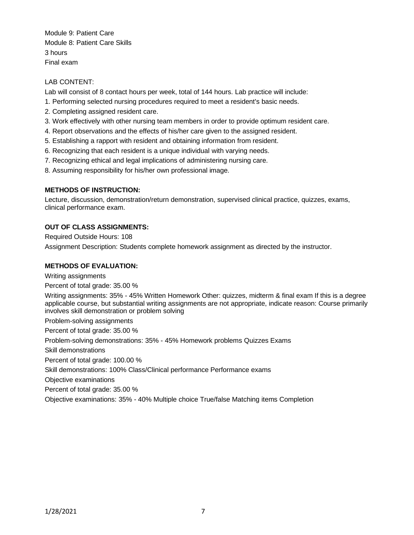Module 9: Patient Care Module 8: Patient Care Skills 3 hours Final exam

LAB CONTENT:

Lab will consist of 8 contact hours per week, total of 144 hours. Lab practice will include:

- 1. Performing selected nursing procedures required to meet a resident's basic needs.
- 2. Completing assigned resident care.
- 3. Work effectively with other nursing team members in order to provide optimum resident care.
- 4. Report observations and the effects of his/her care given to the assigned resident.
- 5. Establishing a rapport with resident and obtaining information from resident.
- 6. Recognizing that each resident is a unique individual with varying needs.
- 7. Recognizing ethical and legal implications of administering nursing care.
- 8. Assuming responsibility for his/her own professional image.

### **METHODS OF INSTRUCTION:**

Lecture, discussion, demonstration/return demonstration, supervised clinical practice, quizzes, exams, clinical performance exam.

## **OUT OF CLASS ASSIGNMENTS:**

Required Outside Hours: 108

Assignment Description: Students complete homework assignment as directed by the instructor.

## **METHODS OF EVALUATION:**

Writing assignments Percent of total grade: 35.00 % Writing assignments: 35% - 45% Written Homework Other: quizzes, midterm & final exam If this is a degree applicable course, but substantial writing assignments are not appropriate, indicate reason: Course primarily involves skill demonstration or problem solving Problem-solving assignments Percent of total grade: 35.00 %

Problem-solving demonstrations: 35% - 45% Homework problems Quizzes Exams Skill demonstrations Percent of total grade: 100.00 % Skill demonstrations: 100% Class/Clinical performance Performance exams Objective examinations Percent of total grade: 35.00 % Objective examinations: 35% - 40% Multiple choice True/false Matching items Completion